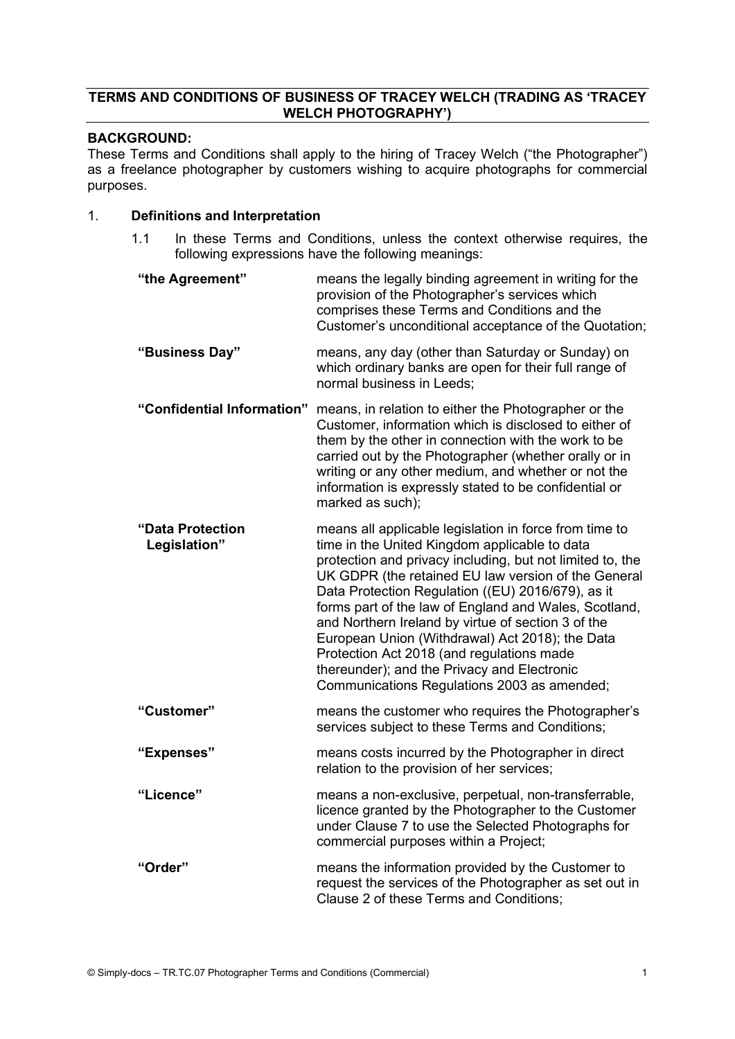# TERMS AND CONDITIONS OF BUSINESS OF TRACEY WELCH (TRADING AS 'TRACEY WELCH PHOTOGRAPHY')

# BACKGROUND:

These Terms and Conditions shall apply to the hiring of Tracey Welch ("the Photographer") as a freelance photographer by customers wishing to acquire photographs for commercial purposes.

# 1. Definitions and Interpretation

1.1 In these Terms and Conditions, unless the context otherwise requires, the following expressions have the following meanings:

| "the Agreement"                  | means the legally binding agreement in writing for the<br>provision of the Photographer's services which<br>comprises these Terms and Conditions and the<br>Customer's unconditional acceptance of the Quotation;                                                                                                                                                                                                                                                                                                                                                                             |
|----------------------------------|-----------------------------------------------------------------------------------------------------------------------------------------------------------------------------------------------------------------------------------------------------------------------------------------------------------------------------------------------------------------------------------------------------------------------------------------------------------------------------------------------------------------------------------------------------------------------------------------------|
| "Business Day"                   | means, any day (other than Saturday or Sunday) on<br>which ordinary banks are open for their full range of<br>normal business in Leeds;                                                                                                                                                                                                                                                                                                                                                                                                                                                       |
| "Confidential Information"       | means, in relation to either the Photographer or the<br>Customer, information which is disclosed to either of<br>them by the other in connection with the work to be<br>carried out by the Photographer (whether orally or in<br>writing or any other medium, and whether or not the<br>information is expressly stated to be confidential or<br>marked as such);                                                                                                                                                                                                                             |
| "Data Protection<br>Legislation" | means all applicable legislation in force from time to<br>time in the United Kingdom applicable to data<br>protection and privacy including, but not limited to, the<br>UK GDPR (the retained EU law version of the General<br>Data Protection Regulation ((EU) 2016/679), as it<br>forms part of the law of England and Wales, Scotland,<br>and Northern Ireland by virtue of section 3 of the<br>European Union (Withdrawal) Act 2018); the Data<br>Protection Act 2018 (and regulations made<br>thereunder); and the Privacy and Electronic<br>Communications Regulations 2003 as amended; |
| "Customer"                       | means the customer who requires the Photographer's<br>services subject to these Terms and Conditions;                                                                                                                                                                                                                                                                                                                                                                                                                                                                                         |
| "Expenses"                       | means costs incurred by the Photographer in direct<br>relation to the provision of her services;                                                                                                                                                                                                                                                                                                                                                                                                                                                                                              |
| "Licence"                        | means a non-exclusive, perpetual, non-transferrable,<br>licence granted by the Photographer to the Customer<br>under Clause 7 to use the Selected Photographs for<br>commercial purposes within a Project;                                                                                                                                                                                                                                                                                                                                                                                    |
| "Order"                          | means the information provided by the Customer to<br>request the services of the Photographer as set out in<br>Clause 2 of these Terms and Conditions;                                                                                                                                                                                                                                                                                                                                                                                                                                        |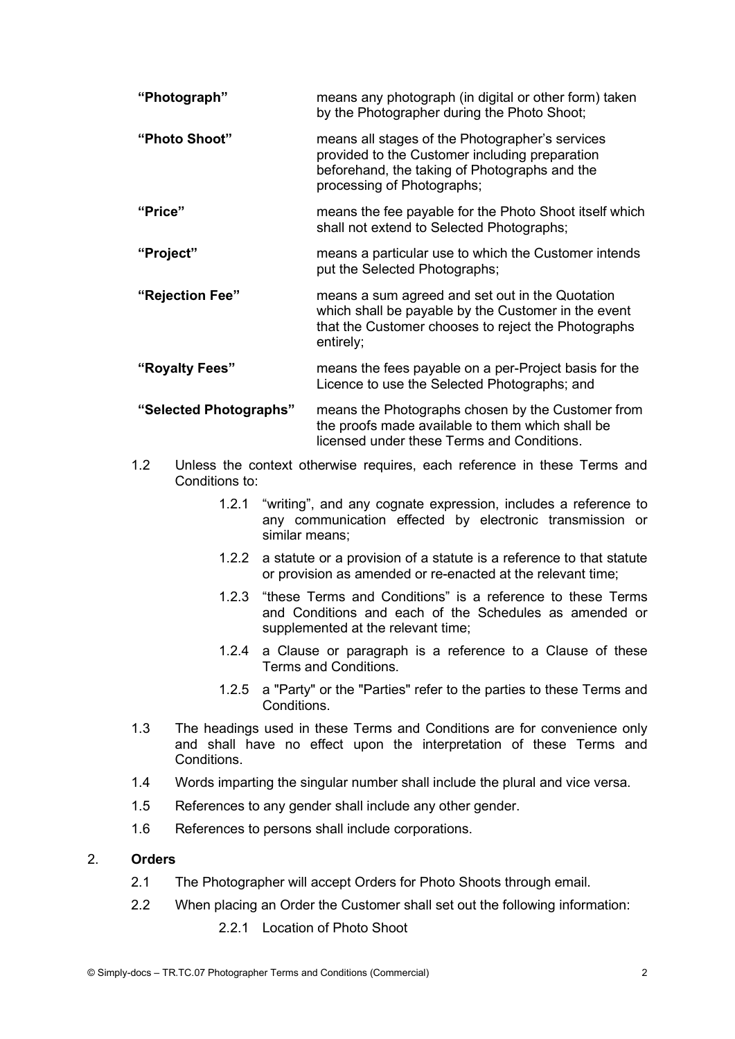| "Photograph"           | means any photograph (in digital or other form) taken<br>by the Photographer during the Photo Shoot;                                                                             |
|------------------------|----------------------------------------------------------------------------------------------------------------------------------------------------------------------------------|
| "Photo Shoot"          | means all stages of the Photographer's services<br>provided to the Customer including preparation<br>beforehand, the taking of Photographs and the<br>processing of Photographs; |
| "Price"                | means the fee payable for the Photo Shoot itself which<br>shall not extend to Selected Photographs;                                                                              |
| "Project"              | means a particular use to which the Customer intends<br>put the Selected Photographs;                                                                                            |
| "Rejection Fee"        | means a sum agreed and set out in the Quotation<br>which shall be payable by the Customer in the event<br>that the Customer chooses to reject the Photographs<br>entirely;       |
| "Royalty Fees"         | means the fees payable on a per-Project basis for the<br>Licence to use the Selected Photographs; and                                                                            |
| "Selected Photographs" | means the Photographs chosen by the Customer from<br>the proofs made available to them which shall be                                                                            |

- 1.2 Unless the context otherwise requires, each reference in these Terms and Conditions to:
	- 1.2.1 "writing", and any cognate expression, includes a reference to any communication effected by electronic transmission or similar means;

licensed under these Terms and Conditions.

- 1.2.2 a statute or a provision of a statute is a reference to that statute or provision as amended or re-enacted at the relevant time;
- 1.2.3 "these Terms and Conditions" is a reference to these Terms and Conditions and each of the Schedules as amended or supplemented at the relevant time;
- 1.2.4 a Clause or paragraph is a reference to a Clause of these Terms and Conditions.
- 1.2.5 a "Party" or the "Parties" refer to the parties to these Terms and Conditions.
- 1.3 The headings used in these Terms and Conditions are for convenience only and shall have no effect upon the interpretation of these Terms and Conditions.
- 1.4 Words imparting the singular number shall include the plural and vice versa.
- 1.5 References to any gender shall include any other gender.
- 1.6 References to persons shall include corporations.

#### 2. Orders

- 2.1 The Photographer will accept Orders for Photo Shoots through email.
- 2.2 When placing an Order the Customer shall set out the following information:
	- 2.2.1 Location of Photo Shoot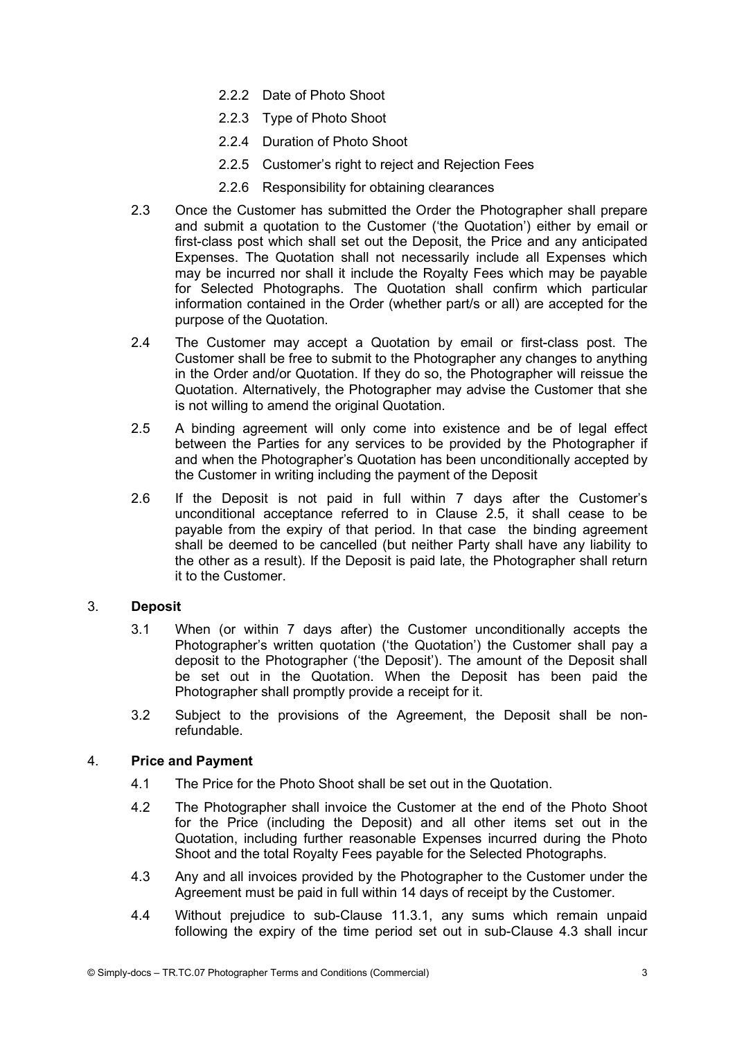- 2.2.2 Date of Photo Shoot
- 2.2.3 Type of Photo Shoot
- 2.2.4 Duration of Photo Shoot
- 2.2.5 Customer's right to reject and Rejection Fees
- 2.2.6 Responsibility for obtaining clearances
- 2.3 Once the Customer has submitted the Order the Photographer shall prepare and submit a quotation to the Customer ('the Quotation') either by email or first-class post which shall set out the Deposit, the Price and any anticipated Expenses. The Quotation shall not necessarily include all Expenses which may be incurred nor shall it include the Royalty Fees which may be payable for Selected Photographs. The Quotation shall confirm which particular information contained in the Order (whether part/s or all) are accepted for the purpose of the Quotation.
- 2.4 The Customer may accept a Quotation by email or first-class post. The Customer shall be free to submit to the Photographer any changes to anything in the Order and/or Quotation. If they do so, the Photographer will reissue the Quotation. Alternatively, the Photographer may advise the Customer that she is not willing to amend the original Quotation.
- 2.5 A binding agreement will only come into existence and be of legal effect between the Parties for any services to be provided by the Photographer if and when the Photographer's Quotation has been unconditionally accepted by the Customer in writing including the payment of the Deposit
- 2.6 If the Deposit is not paid in full within 7 days after the Customer's unconditional acceptance referred to in Clause 2.5, it shall cease to be payable from the expiry of that period. In that case the binding agreement shall be deemed to be cancelled (but neither Party shall have any liability to the other as a result). If the Deposit is paid late, the Photographer shall return it to the Customer.

#### 3. Deposit

- 3.1 When (or within 7 days after) the Customer unconditionally accepts the Photographer's written quotation ('the Quotation') the Customer shall pay a deposit to the Photographer ('the Deposit'). The amount of the Deposit shall be set out in the Quotation. When the Deposit has been paid the Photographer shall promptly provide a receipt for it.
- 3.2 Subject to the provisions of the Agreement, the Deposit shall be nonrefundable.

#### 4. Price and Payment

- 4.1 The Price for the Photo Shoot shall be set out in the Quotation.
- 4.2 The Photographer shall invoice the Customer at the end of the Photo Shoot for the Price (including the Deposit) and all other items set out in the Quotation, including further reasonable Expenses incurred during the Photo Shoot and the total Royalty Fees payable for the Selected Photographs.
- 4.3 Any and all invoices provided by the Photographer to the Customer under the Agreement must be paid in full within 14 days of receipt by the Customer.
- 4.4 Without prejudice to sub-Clause 11.3.1, any sums which remain unpaid following the expiry of the time period set out in sub-Clause 4.3 shall incur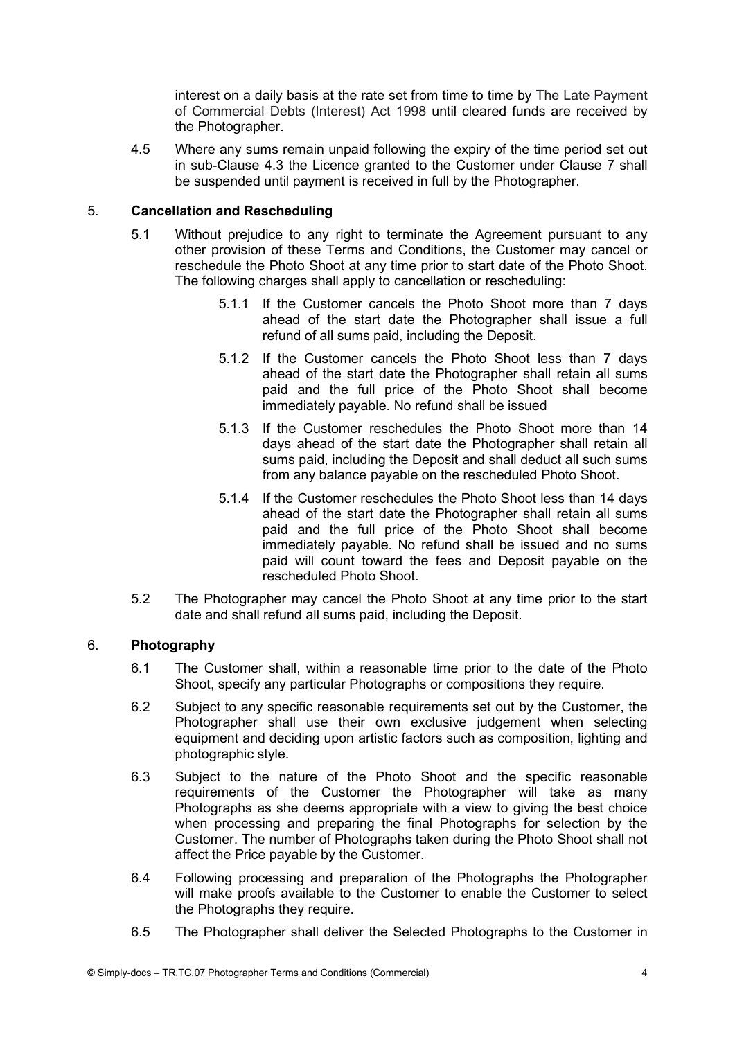interest on a daily basis at the rate set from time to time by The Late Payment of Commercial Debts (Interest) Act 1998 until cleared funds are received by the Photographer.

4.5 Where any sums remain unpaid following the expiry of the time period set out in sub-Clause 4.3 the Licence granted to the Customer under Clause 7 shall be suspended until payment is received in full by the Photographer.

### 5. Cancellation and Rescheduling

- 5.1 Without prejudice to any right to terminate the Agreement pursuant to any other provision of these Terms and Conditions, the Customer may cancel or reschedule the Photo Shoot at any time prior to start date of the Photo Shoot. The following charges shall apply to cancellation or rescheduling:
	- 5.1.1 If the Customer cancels the Photo Shoot more than 7 days ahead of the start date the Photographer shall issue a full refund of all sums paid, including the Deposit.
	- 5.1.2 If the Customer cancels the Photo Shoot less than 7 days ahead of the start date the Photographer shall retain all sums paid and the full price of the Photo Shoot shall become immediately payable. No refund shall be issued
	- 5.1.3 If the Customer reschedules the Photo Shoot more than 14 days ahead of the start date the Photographer shall retain all sums paid, including the Deposit and shall deduct all such sums from any balance payable on the rescheduled Photo Shoot.
	- 5.1.4 If the Customer reschedules the Photo Shoot less than 14 days ahead of the start date the Photographer shall retain all sums paid and the full price of the Photo Shoot shall become immediately payable. No refund shall be issued and no sums paid will count toward the fees and Deposit payable on the rescheduled Photo Shoot.
- 5.2 The Photographer may cancel the Photo Shoot at any time prior to the start date and shall refund all sums paid, including the Deposit.

## 6. Photography

- 6.1 The Customer shall, within a reasonable time prior to the date of the Photo Shoot, specify any particular Photographs or compositions they require.
- 6.2 Subject to any specific reasonable requirements set out by the Customer, the Photographer shall use their own exclusive judgement when selecting equipment and deciding upon artistic factors such as composition, lighting and photographic style.
- 6.3 Subject to the nature of the Photo Shoot and the specific reasonable requirements of the Customer the Photographer will take as many Photographs as she deems appropriate with a view to giving the best choice when processing and preparing the final Photographs for selection by the Customer. The number of Photographs taken during the Photo Shoot shall not affect the Price payable by the Customer.
- 6.4 Following processing and preparation of the Photographs the Photographer will make proofs available to the Customer to enable the Customer to select the Photographs they require.
- 6.5 The Photographer shall deliver the Selected Photographs to the Customer in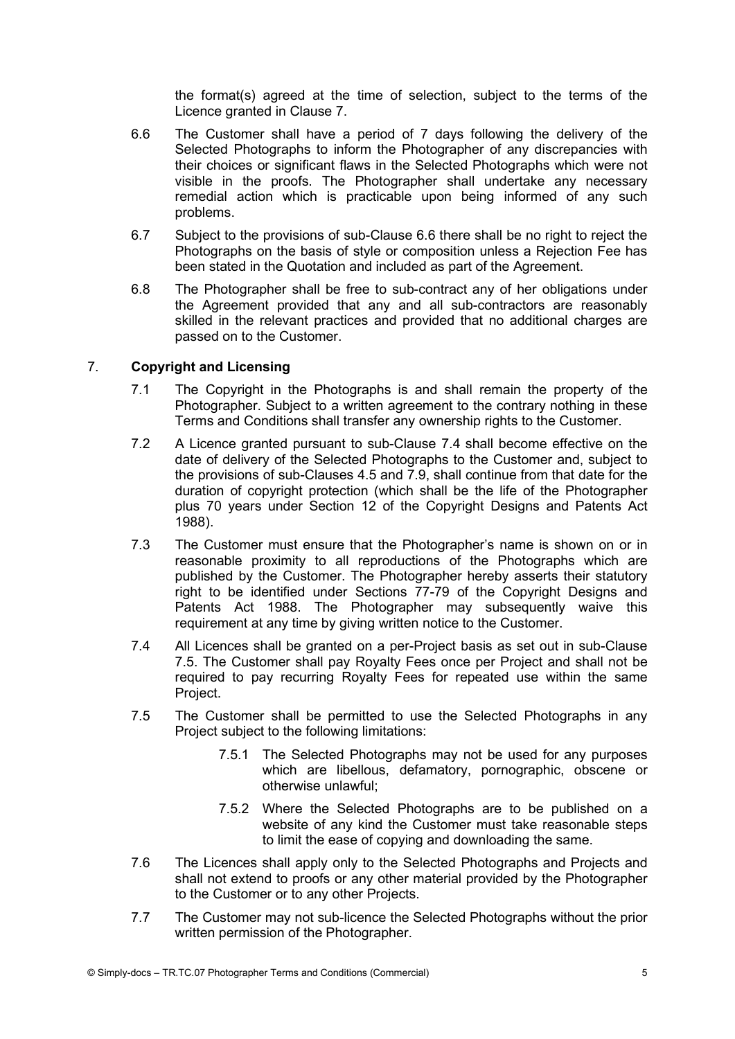the format(s) agreed at the time of selection, subject to the terms of the Licence granted in Clause 7.

- 6.6 The Customer shall have a period of 7 days following the delivery of the Selected Photographs to inform the Photographer of any discrepancies with their choices or significant flaws in the Selected Photographs which were not visible in the proofs. The Photographer shall undertake any necessary remedial action which is practicable upon being informed of any such problems.
- 6.7 Subject to the provisions of sub-Clause 6.6 there shall be no right to reject the Photographs on the basis of style or composition unless a Rejection Fee has been stated in the Quotation and included as part of the Agreement.
- 6.8 The Photographer shall be free to sub-contract any of her obligations under the Agreement provided that any and all sub-contractors are reasonably skilled in the relevant practices and provided that no additional charges are passed on to the Customer.

# 7. Copyright and Licensing

- 7.1 The Copyright in the Photographs is and shall remain the property of the Photographer. Subject to a written agreement to the contrary nothing in these Terms and Conditions shall transfer any ownership rights to the Customer.
- 7.2 A Licence granted pursuant to sub-Clause 7.4 shall become effective on the date of delivery of the Selected Photographs to the Customer and, subject to the provisions of sub-Clauses 4.5 and 7.9, shall continue from that date for the duration of copyright protection (which shall be the life of the Photographer plus 70 years under Section 12 of the Copyright Designs and Patents Act 1988).
- 7.3 The Customer must ensure that the Photographer's name is shown on or in reasonable proximity to all reproductions of the Photographs which are published by the Customer. The Photographer hereby asserts their statutory right to be identified under Sections 77-79 of the Copyright Designs and Patents Act 1988. The Photographer may subsequently waive this requirement at any time by giving written notice to the Customer.
- 7.4 All Licences shall be granted on a per-Project basis as set out in sub-Clause 7.5. The Customer shall pay Royalty Fees once per Project and shall not be required to pay recurring Royalty Fees for repeated use within the same Project.
- 7.5 The Customer shall be permitted to use the Selected Photographs in any Project subject to the following limitations:
	- 7.5.1 The Selected Photographs may not be used for any purposes which are libellous, defamatory, pornographic, obscene or otherwise unlawful;
	- 7.5.2 Where the Selected Photographs are to be published on a website of any kind the Customer must take reasonable steps to limit the ease of copying and downloading the same.
- 7.6 The Licences shall apply only to the Selected Photographs and Projects and shall not extend to proofs or any other material provided by the Photographer to the Customer or to any other Projects.
- 7.7 The Customer may not sub-licence the Selected Photographs without the prior written permission of the Photographer.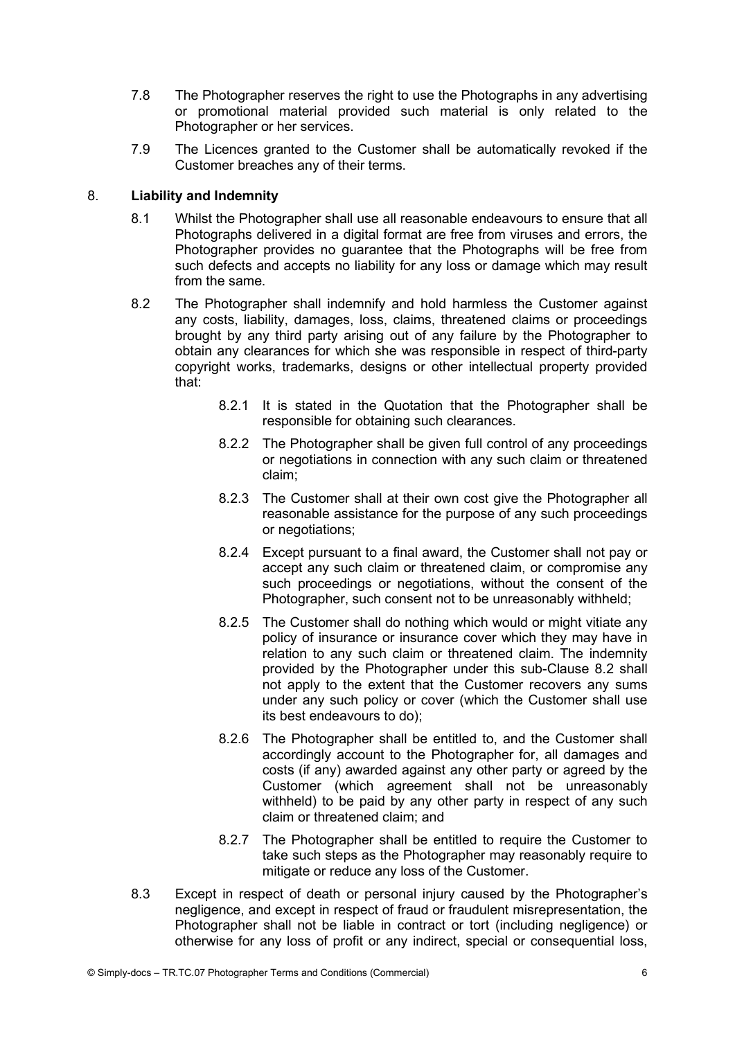- 7.8 The Photographer reserves the right to use the Photographs in any advertising or promotional material provided such material is only related to the Photographer or her services.
- 7.9 The Licences granted to the Customer shall be automatically revoked if the Customer breaches any of their terms.

## 8. Liability and Indemnity

- 8.1 Whilst the Photographer shall use all reasonable endeavours to ensure that all Photographs delivered in a digital format are free from viruses and errors, the Photographer provides no guarantee that the Photographs will be free from such defects and accepts no liability for any loss or damage which may result from the same.
- 8.2 The Photographer shall indemnify and hold harmless the Customer against any costs, liability, damages, loss, claims, threatened claims or proceedings brought by any third party arising out of any failure by the Photographer to obtain any clearances for which she was responsible in respect of third-party copyright works, trademarks, designs or other intellectual property provided that:
	- 8.2.1 It is stated in the Quotation that the Photographer shall be responsible for obtaining such clearances.
	- 8.2.2 The Photographer shall be given full control of any proceedings or negotiations in connection with any such claim or threatened claim;
	- 8.2.3 The Customer shall at their own cost give the Photographer all reasonable assistance for the purpose of any such proceedings or negotiations;
	- 8.2.4 Except pursuant to a final award, the Customer shall not pay or accept any such claim or threatened claim, or compromise any such proceedings or negotiations, without the consent of the Photographer, such consent not to be unreasonably withheld;
	- 8.2.5 The Customer shall do nothing which would or might vitiate any policy of insurance or insurance cover which they may have in relation to any such claim or threatened claim. The indemnity provided by the Photographer under this sub-Clause 8.2 shall not apply to the extent that the Customer recovers any sums under any such policy or cover (which the Customer shall use its best endeavours to do);
	- 8.2.6 The Photographer shall be entitled to, and the Customer shall accordingly account to the Photographer for, all damages and costs (if any) awarded against any other party or agreed by the Customer (which agreement shall not be unreasonably withheld) to be paid by any other party in respect of any such claim or threatened claim; and
	- 8.2.7 The Photographer shall be entitled to require the Customer to take such steps as the Photographer may reasonably require to mitigate or reduce any loss of the Customer.
- 8.3 Except in respect of death or personal injury caused by the Photographer's negligence, and except in respect of fraud or fraudulent misrepresentation, the Photographer shall not be liable in contract or tort (including negligence) or otherwise for any loss of profit or any indirect, special or consequential loss,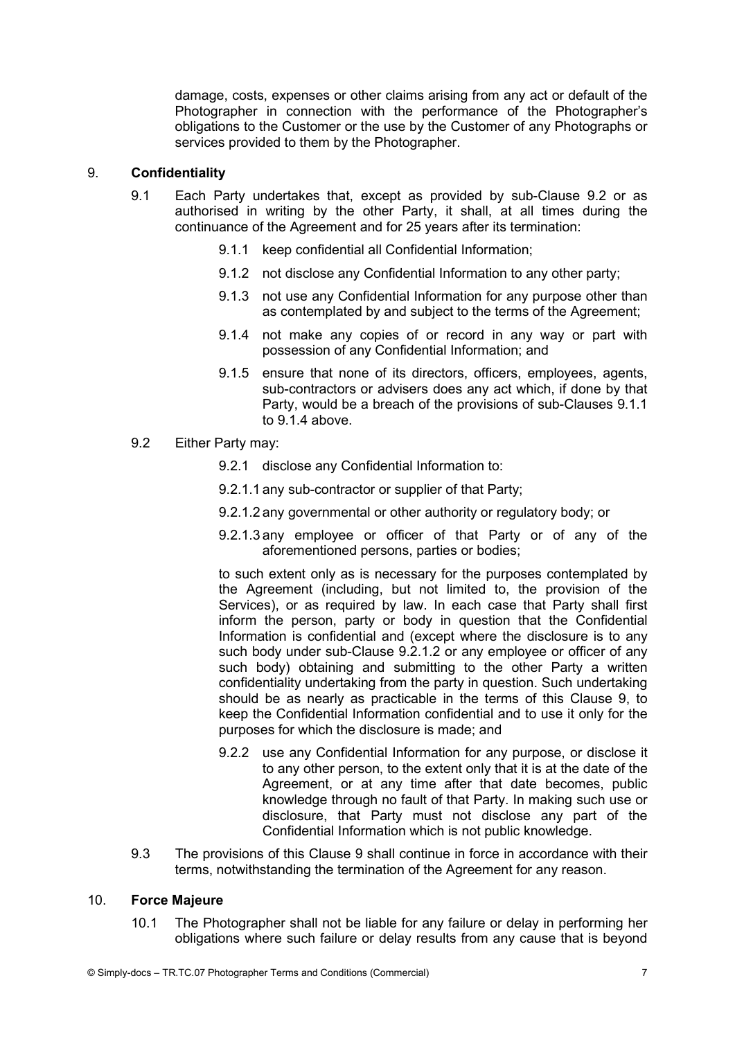damage, costs, expenses or other claims arising from any act or default of the Photographer in connection with the performance of the Photographer's obligations to the Customer or the use by the Customer of any Photographs or services provided to them by the Photographer.

### 9. Confidentiality

- 9.1 Each Party undertakes that, except as provided by sub-Clause 9.2 or as authorised in writing by the other Party, it shall, at all times during the continuance of the Agreement and for 25 years after its termination:
	- 9.1.1 keep confidential all Confidential Information;
	- 9.1.2 not disclose any Confidential Information to any other party;
	- 9.1.3 not use any Confidential Information for any purpose other than as contemplated by and subject to the terms of the Agreement;
	- 9.1.4 not make any copies of or record in any way or part with possession of any Confidential Information; and
	- 9.1.5 ensure that none of its directors, officers, employees, agents, sub-contractors or advisers does any act which, if done by that Party, would be a breach of the provisions of sub-Clauses 9.1.1 to  $9.1.4$  above.
- 9.2 Either Party may:
	- 9.2.1 disclose any Confidential Information to:
	- 9.2.1.1 any sub-contractor or supplier of that Party;
	- 9.2.1.2 any governmental or other authority or regulatory body; or
	- 9.2.1.3 any employee or officer of that Party or of any of the aforementioned persons, parties or bodies;

to such extent only as is necessary for the purposes contemplated by the Agreement (including, but not limited to, the provision of the Services), or as required by law. In each case that Party shall first inform the person, party or body in question that the Confidential Information is confidential and (except where the disclosure is to any such body under sub-Clause 9.2.1.2 or any employee or officer of any such body) obtaining and submitting to the other Party a written confidentiality undertaking from the party in question. Such undertaking should be as nearly as practicable in the terms of this Clause 9, to keep the Confidential Information confidential and to use it only for the purposes for which the disclosure is made; and

- 9.2.2 use any Confidential Information for any purpose, or disclose it to any other person, to the extent only that it is at the date of the Agreement, or at any time after that date becomes, public knowledge through no fault of that Party. In making such use or disclosure, that Party must not disclose any part of the Confidential Information which is not public knowledge.
- 9.3 The provisions of this Clause 9 shall continue in force in accordance with their terms, notwithstanding the termination of the Agreement for any reason.

#### 10. Force Majeure

10.1 The Photographer shall not be liable for any failure or delay in performing her obligations where such failure or delay results from any cause that is beyond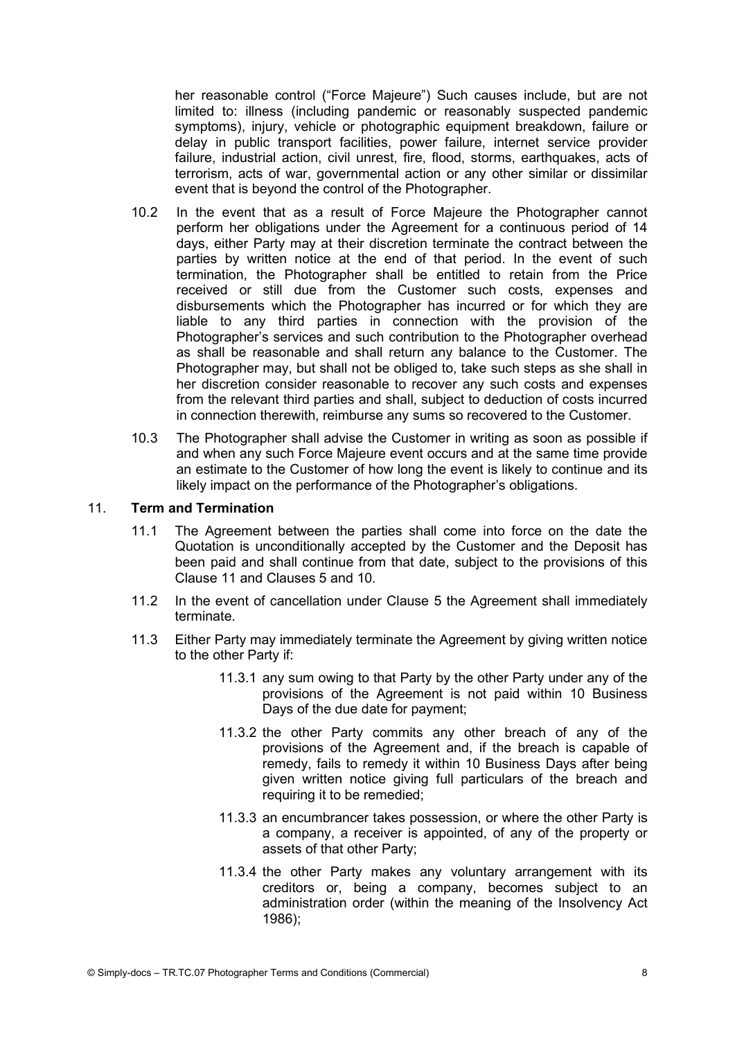her reasonable control ("Force Majeure") Such causes include, but are not limited to: illness (including pandemic or reasonably suspected pandemic symptoms), injury, vehicle or photographic equipment breakdown, failure or delay in public transport facilities, power failure, internet service provider failure, industrial action, civil unrest, fire, flood, storms, earthquakes, acts of terrorism, acts of war, governmental action or any other similar or dissimilar event that is beyond the control of the Photographer.

- 10.2 In the event that as a result of Force Majeure the Photographer cannot perform her obligations under the Agreement for a continuous period of 14 days, either Party may at their discretion terminate the contract between the parties by written notice at the end of that period. In the event of such termination, the Photographer shall be entitled to retain from the Price received or still due from the Customer such costs, expenses and disbursements which the Photographer has incurred or for which they are liable to any third parties in connection with the provision of the Photographer's services and such contribution to the Photographer overhead as shall be reasonable and shall return any balance to the Customer. The Photographer may, but shall not be obliged to, take such steps as she shall in her discretion consider reasonable to recover any such costs and expenses from the relevant third parties and shall, subject to deduction of costs incurred in connection therewith, reimburse any sums so recovered to the Customer.
- 10.3 The Photographer shall advise the Customer in writing as soon as possible if and when any such Force Majeure event occurs and at the same time provide an estimate to the Customer of how long the event is likely to continue and its likely impact on the performance of the Photographer's obligations.

### 11. Term and Termination

- 11.1 The Agreement between the parties shall come into force on the date the Quotation is unconditionally accepted by the Customer and the Deposit has been paid and shall continue from that date, subject to the provisions of this Clause 11 and Clauses 5 and 10.
- 11.2 In the event of cancellation under Clause 5 the Agreement shall immediately terminate.
- 11.3 Either Party may immediately terminate the Agreement by giving written notice to the other Party if:
	- 11.3.1 any sum owing to that Party by the other Party under any of the provisions of the Agreement is not paid within 10 Business Days of the due date for payment;
	- 11.3.2 the other Party commits any other breach of any of the provisions of the Agreement and, if the breach is capable of remedy, fails to remedy it within 10 Business Days after being given written notice giving full particulars of the breach and requiring it to be remedied;
	- 11.3.3 an encumbrancer takes possession, or where the other Party is a company, a receiver is appointed, of any of the property or assets of that other Party;
	- 11.3.4 the other Party makes any voluntary arrangement with its creditors or, being a company, becomes subject to an administration order (within the meaning of the Insolvency Act 1986);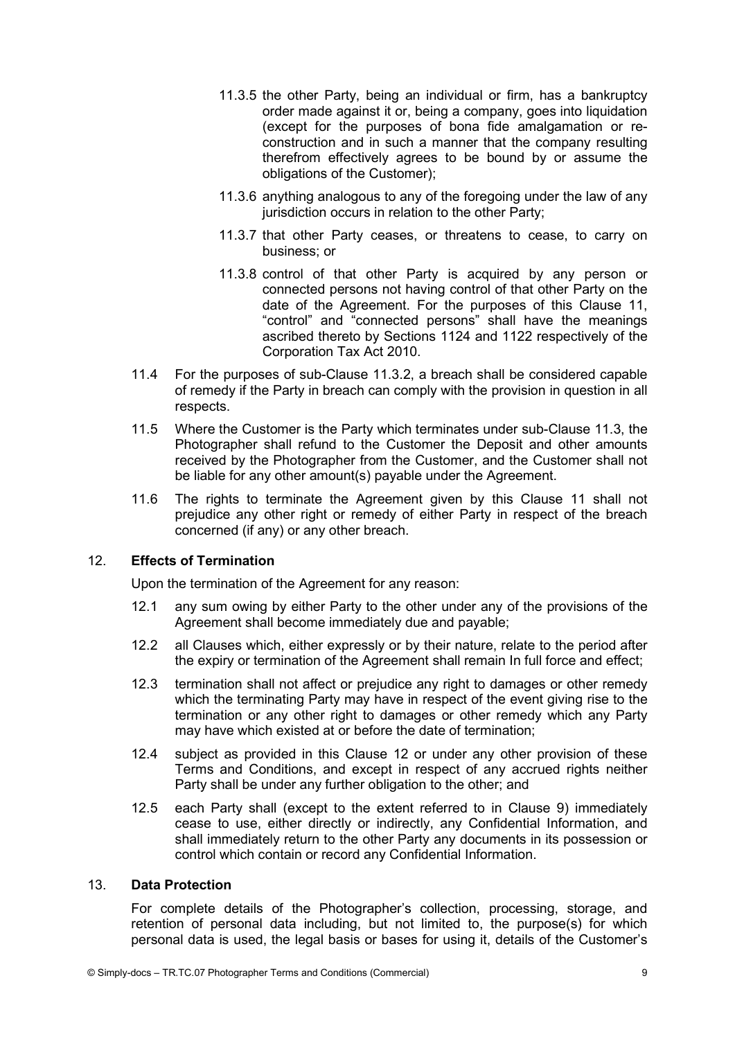- 11.3.5 the other Party, being an individual or firm, has a bankruptcy order made against it or, being a company, goes into liquidation (except for the purposes of bona fide amalgamation or reconstruction and in such a manner that the company resulting therefrom effectively agrees to be bound by or assume the obligations of the Customer);
- 11.3.6 anything analogous to any of the foregoing under the law of any jurisdiction occurs in relation to the other Party:
- 11.3.7 that other Party ceases, or threatens to cease, to carry on business; or
- 11.3.8 control of that other Party is acquired by any person or connected persons not having control of that other Party on the date of the Agreement. For the purposes of this Clause 11, "control" and "connected persons" shall have the meanings ascribed thereto by Sections 1124 and 1122 respectively of the Corporation Tax Act 2010.
- 11.4 For the purposes of sub-Clause 11.3.2, a breach shall be considered capable of remedy if the Party in breach can comply with the provision in question in all respects.
- 11.5 Where the Customer is the Party which terminates under sub-Clause 11.3, the Photographer shall refund to the Customer the Deposit and other amounts received by the Photographer from the Customer, and the Customer shall not be liable for any other amount(s) payable under the Agreement.
- 11.6 The rights to terminate the Agreement given by this Clause 11 shall not prejudice any other right or remedy of either Party in respect of the breach concerned (if any) or any other breach.

# 12. Effects of Termination

Upon the termination of the Agreement for any reason:

- 12.1 any sum owing by either Party to the other under any of the provisions of the Agreement shall become immediately due and payable;
- 12.2 all Clauses which, either expressly or by their nature, relate to the period after the expiry or termination of the Agreement shall remain In full force and effect;
- 12.3 termination shall not affect or prejudice any right to damages or other remedy which the terminating Party may have in respect of the event giving rise to the termination or any other right to damages or other remedy which any Party may have which existed at or before the date of termination;
- 12.4 subject as provided in this Clause 12 or under any other provision of these Terms and Conditions, and except in respect of any accrued rights neither Party shall be under any further obligation to the other; and
- 12.5 each Party shall (except to the extent referred to in Clause 9) immediately cease to use, either directly or indirectly, any Confidential Information, and shall immediately return to the other Party any documents in its possession or control which contain or record any Confidential Information.

### 13. Data Protection

For complete details of the Photographer's collection, processing, storage, and retention of personal data including, but not limited to, the purpose(s) for which personal data is used, the legal basis or bases for using it, details of the Customer's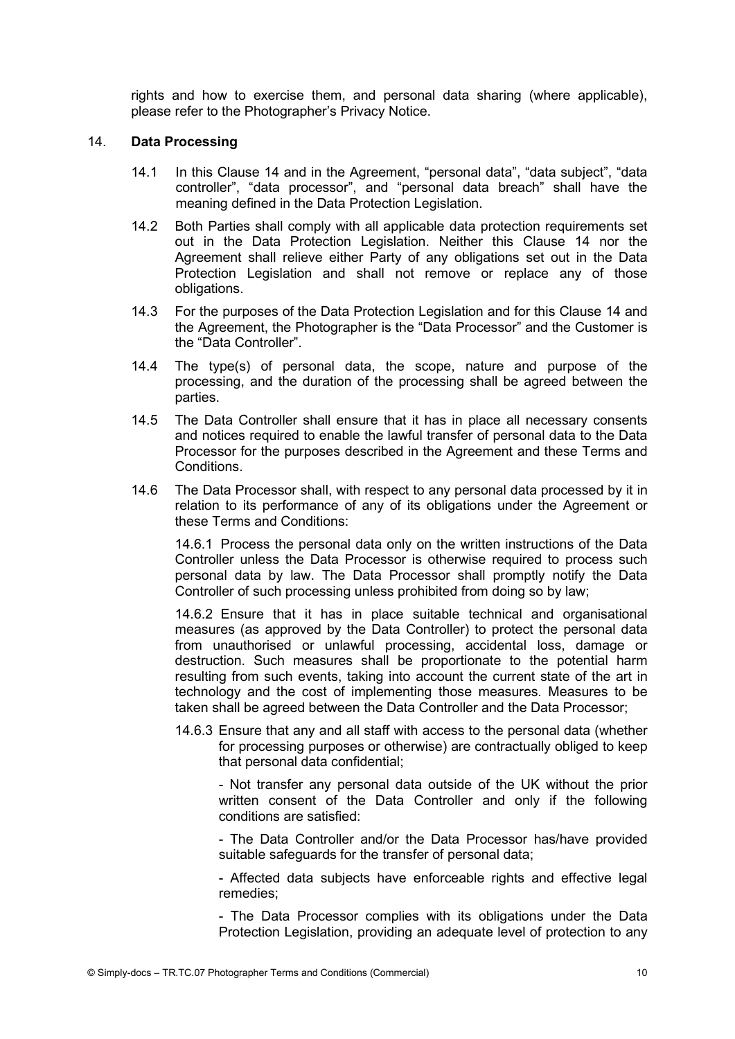rights and how to exercise them, and personal data sharing (where applicable), please refer to the Photographer's Privacy Notice.

#### 14. Data Processing

- 14.1 In this Clause 14 and in the Agreement, "personal data", "data subject", "data controller", "data processor", and "personal data breach" shall have the meaning defined in the Data Protection Legislation.
- 14.2 Both Parties shall comply with all applicable data protection requirements set out in the Data Protection Legislation. Neither this Clause 14 nor the Agreement shall relieve either Party of any obligations set out in the Data Protection Legislation and shall not remove or replace any of those obligations.
- 14.3 For the purposes of the Data Protection Legislation and for this Clause 14 and the Agreement, the Photographer is the "Data Processor" and the Customer is the "Data Controller".
- 14.4 The type(s) of personal data, the scope, nature and purpose of the processing, and the duration of the processing shall be agreed between the parties.
- 14.5 The Data Controller shall ensure that it has in place all necessary consents and notices required to enable the lawful transfer of personal data to the Data Processor for the purposes described in the Agreement and these Terms and Conditions.
- 14.6 The Data Processor shall, with respect to any personal data processed by it in relation to its performance of any of its obligations under the Agreement or these Terms and Conditions:

14.6.1 Process the personal data only on the written instructions of the Data Controller unless the Data Processor is otherwise required to process such personal data by law. The Data Processor shall promptly notify the Data Controller of such processing unless prohibited from doing so by law;

14.6.2 Ensure that it has in place suitable technical and organisational measures (as approved by the Data Controller) to protect the personal data from unauthorised or unlawful processing, accidental loss, damage or destruction. Such measures shall be proportionate to the potential harm resulting from such events, taking into account the current state of the art in technology and the cost of implementing those measures. Measures to be taken shall be agreed between the Data Controller and the Data Processor;

14.6.3 Ensure that any and all staff with access to the personal data (whether for processing purposes or otherwise) are contractually obliged to keep that personal data confidential;

- Not transfer any personal data outside of the UK without the prior written consent of the Data Controller and only if the following conditions are satisfied:

- The Data Controller and/or the Data Processor has/have provided suitable safeguards for the transfer of personal data;

- Affected data subjects have enforceable rights and effective legal remedies;

- The Data Processor complies with its obligations under the Data Protection Legislation, providing an adequate level of protection to any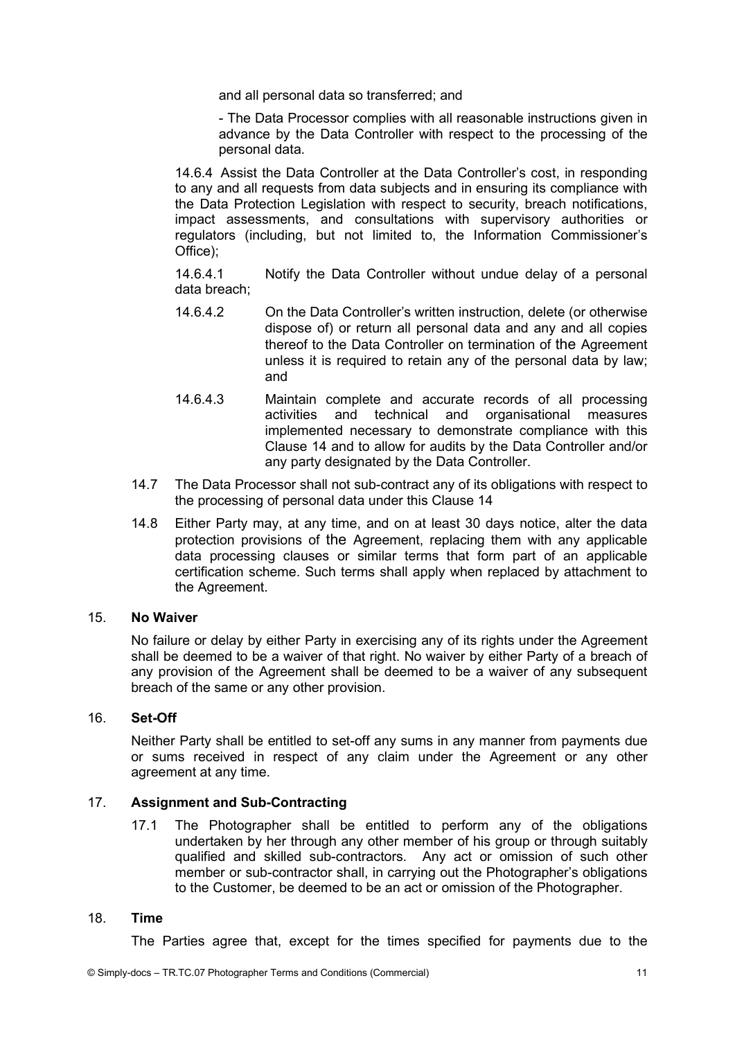and all personal data so transferred; and

- The Data Processor complies with all reasonable instructions given in advance by the Data Controller with respect to the processing of the personal data.

14.6.4 Assist the Data Controller at the Data Controller's cost, in responding to any and all requests from data subjects and in ensuring its compliance with the Data Protection Legislation with respect to security, breach notifications, impact assessments, and consultations with supervisory authorities or regulators (including, but not limited to, the Information Commissioner's Office);

14.6.4.1 Notify the Data Controller without undue delay of a personal data breach;

- 14.6.4.2 On the Data Controller's written instruction, delete (or otherwise dispose of) or return all personal data and any and all copies thereof to the Data Controller on termination of the Agreement unless it is required to retain any of the personal data by law; and
- 14.6.4.3 Maintain complete and accurate records of all processing activities and technical and organisational measures implemented necessary to demonstrate compliance with this Clause 14 and to allow for audits by the Data Controller and/or any party designated by the Data Controller.
- 14.7 The Data Processor shall not sub-contract any of its obligations with respect to the processing of personal data under this Clause 14
- 14.8 Either Party may, at any time, and on at least 30 days notice, alter the data protection provisions of the Agreement, replacing them with any applicable data processing clauses or similar terms that form part of an applicable certification scheme. Such terms shall apply when replaced by attachment to the Agreement.

### 15. No Waiver

No failure or delay by either Party in exercising any of its rights under the Agreement shall be deemed to be a waiver of that right. No waiver by either Party of a breach of any provision of the Agreement shall be deemed to be a waiver of any subsequent breach of the same or any other provision.

#### 16. Set-Off

Neither Party shall be entitled to set-off any sums in any manner from payments due or sums received in respect of any claim under the Agreement or any other agreement at any time.

## 17. Assignment and Sub-Contracting

17.1 The Photographer shall be entitled to perform any of the obligations undertaken by her through any other member of his group or through suitably qualified and skilled sub-contractors. Any act or omission of such other member or sub-contractor shall, in carrying out the Photographer's obligations to the Customer, be deemed to be an act or omission of the Photographer.

#### 18. Time

The Parties agree that, except for the times specified for payments due to the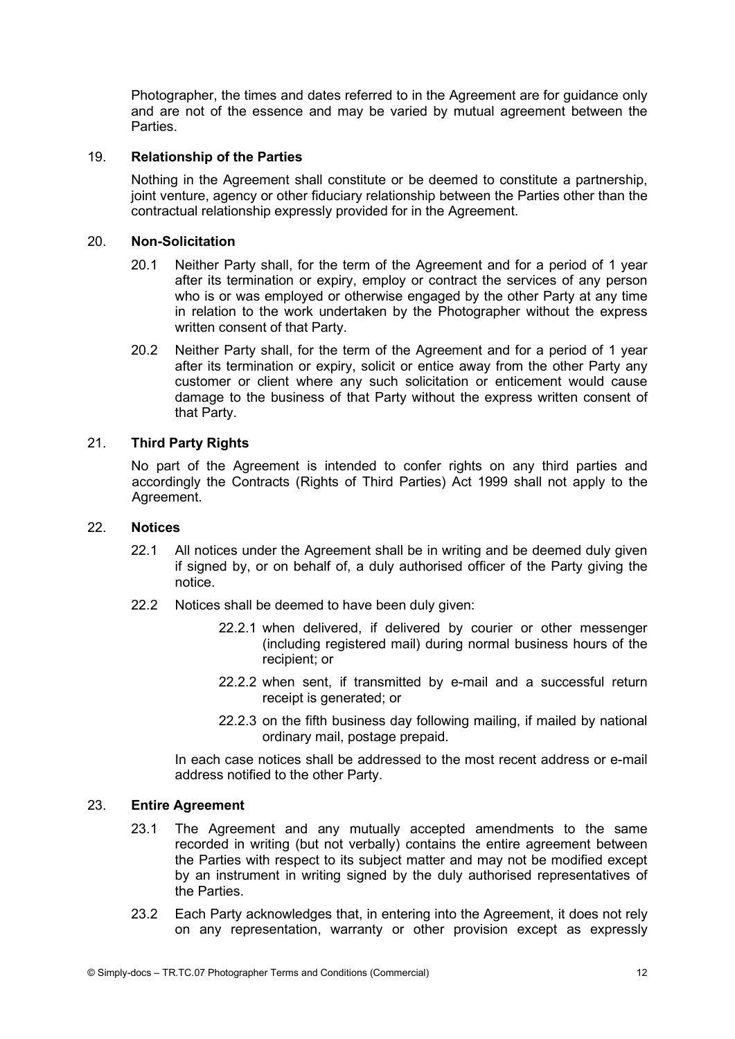Photographer, the times and dates referred to in the Agreement are for guidance only and are not of the essence and may be varied by mutual agreement between the **Parties** 

# 19. Relationship of the Parties

Nothing in the Agreement shall constitute or be deemed to constitute a partnership, joint venture, agency or other fiduciary relationship between the Parties other than the contractual relationship expressly provided for in the Agreement.

### 20. Non-Solicitation

- 20.1 Neither Party shall, for the term of the Agreement and for a period of 1 year after its termination or expiry, employ or contract the services of any person who is or was employed or otherwise engaged by the other Party at any time in relation to the work undertaken by the Photographer without the express written consent of that Party.
- 20.2 Neither Party shall, for the term of the Agreement and for a period of 1 year after its termination or expiry, solicit or entice away from the other Party any customer or client where any such solicitation or enticement would cause damage to the business of that Party without the express written consent of that Party.

# 21. Third Party Rights

No part of the Agreement is intended to confer rights on any third parties and accordingly the Contracts (Rights of Third Parties) Act 1999 shall not apply to the Agreement.

#### 22. Notices

- 22.1 All notices under the Agreement shall be in writing and be deemed duly given if signed by, or on behalf of, a duly authorised officer of the Party giving the notice.
- 22.2 Notices shall be deemed to have been duly given:
	- 22.2.1 when delivered, if delivered by courier or other messenger (including registered mail) during normal business hours of the recipient; or
	- 22.2.2 when sent, if transmitted by e-mail and a successful return receipt is generated; or
	- 22.2.3 on the fifth business day following mailing, if mailed by national ordinary mail, postage prepaid.

In each case notices shall be addressed to the most recent address or e-mail address notified to the other Party.

# 23. Entire Agreement

- 23.1 The Agreement and any mutually accepted amendments to the same recorded in writing (but not verbally) contains the entire agreement between the Parties with respect to its subject matter and may not be modified except by an instrument in writing signed by the duly authorised representatives of the Parties.
- 23.2 Each Party acknowledges that, in entering into the Agreement, it does not rely on any representation, warranty or other provision except as expressly